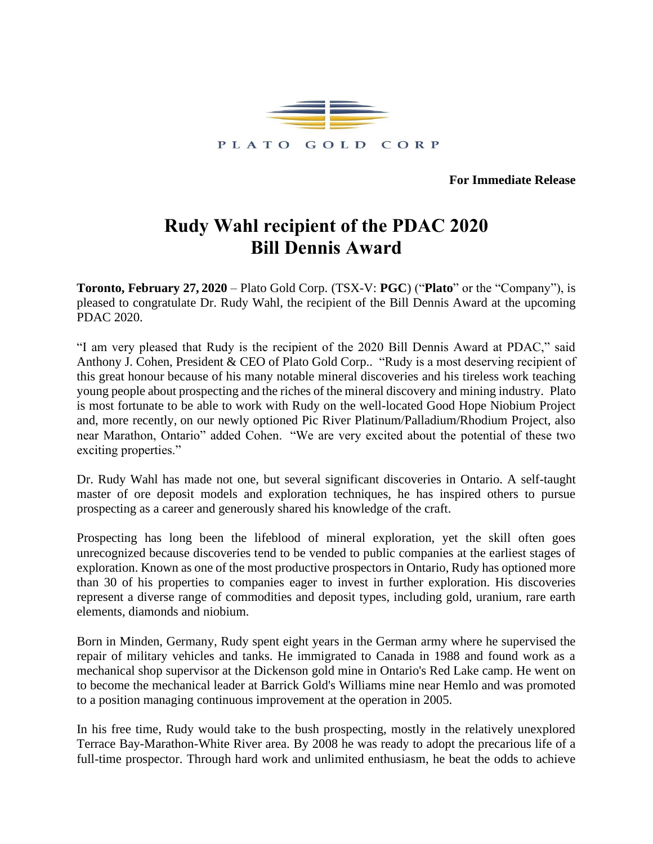

**For Immediate Release**

# **Rudy Wahl recipient of the PDAC 2020 Bill Dennis Award**

**Toronto, February 27, 2020** – Plato Gold Corp. (TSX-V: **PGC**) ("**Plato**" or the "Company"), is pleased to congratulate Dr. Rudy Wahl, the recipient of the Bill Dennis Award at the upcoming PDAC 2020.

"I am very pleased that Rudy is the recipient of the 2020 Bill Dennis Award at PDAC," said Anthony J. Cohen, President & CEO of Plato Gold Corp.. "Rudy is a most deserving recipient of this great honour because of his many notable mineral discoveries and his tireless work teaching young people about prospecting and the riches of the mineral discovery and mining industry. Plato is most fortunate to be able to work with Rudy on the well-located Good Hope Niobium Project and, more recently, on our newly optioned Pic River Platinum/Palladium/Rhodium Project, also near Marathon, Ontario" added Cohen. "We are very excited about the potential of these two exciting properties."

Dr. Rudy Wahl has made not one, but several significant discoveries in Ontario. A self-taught master of ore deposit models and exploration techniques, he has inspired others to pursue prospecting as a career and generously shared his knowledge of the craft.

Prospecting has long been the lifeblood of mineral exploration, yet the skill often goes unrecognized because discoveries tend to be vended to public companies at the earliest stages of exploration. Known as one of the most productive prospectors in Ontario, Rudy has optioned more than 30 of his properties to companies eager to invest in further exploration. His discoveries represent a diverse range of commodities and deposit types, including gold, uranium, rare earth elements, diamonds and niobium.

Born in Minden, Germany, Rudy spent eight years in the German army where he supervised the repair of military vehicles and tanks. He immigrated to Canada in 1988 and found work as a mechanical shop supervisor at the Dickenson gold mine in Ontario's Red Lake camp. He went on to become the mechanical leader at Barrick Gold's Williams mine near Hemlo and was promoted to a position managing continuous improvement at the operation in 2005.

In his free time, Rudy would take to the bush prospecting, mostly in the relatively unexplored Terrace Bay-Marathon-White River area. By 2008 he was ready to adopt the precarious life of a full-time prospector. Through hard work and unlimited enthusiasm, he beat the odds to achieve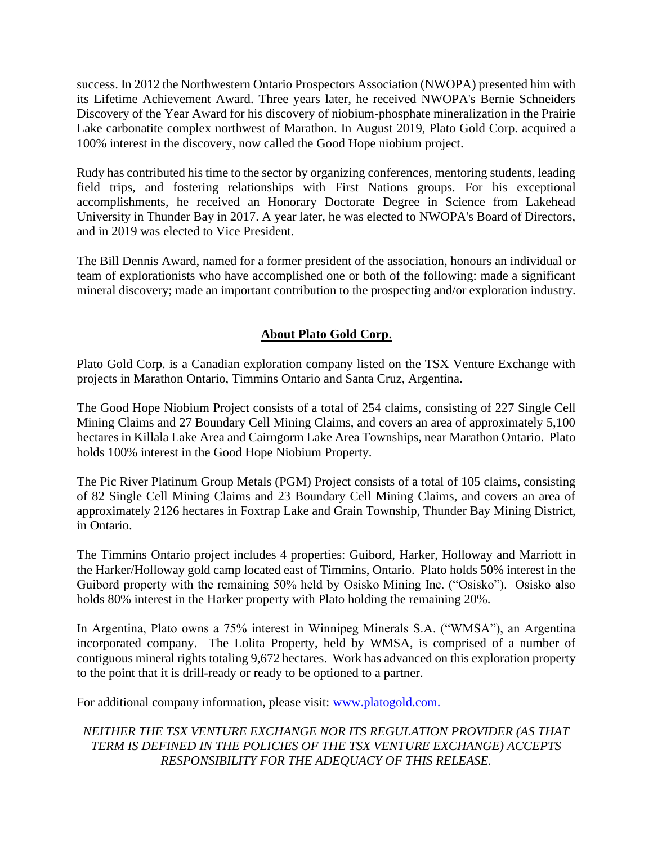success. In 2012 the Northwestern Ontario Prospectors Association (NWOPA) presented him with its Lifetime Achievement Award. Three years later, he received NWOPA's Bernie Schneiders Discovery of the Year Award for his discovery of niobium-phosphate mineralization in the Prairie Lake carbonatite complex northwest of Marathon. In August 2019, Plato Gold Corp. acquired a 100% interest in the discovery, now called the Good Hope niobium project.

Rudy has contributed his time to the sector by organizing conferences, mentoring students, leading field trips, and fostering relationships with First Nations groups. For his exceptional accomplishments, he received an Honorary Doctorate Degree in Science from Lakehead University in Thunder Bay in 2017. A year later, he was elected to NWOPA's Board of Directors, and in 2019 was elected to Vice President.

The Bill Dennis Award, named for a former president of the association, honours an individual or team of explorationists who have accomplished one or both of the following: made a significant mineral discovery; made an important contribution to the prospecting and/or exploration industry.

## **About Plato Gold Corp**.

Plato Gold Corp. is a Canadian exploration company listed on the TSX Venture Exchange with projects in Marathon Ontario, Timmins Ontario and Santa Cruz, Argentina.

The Good Hope Niobium Project consists of a total of 254 claims, consisting of 227 Single Cell Mining Claims and 27 Boundary Cell Mining Claims, and covers an area of approximately 5,100 hectares in Killala Lake Area and Cairngorm Lake Area Townships, near Marathon Ontario. Plato holds 100% interest in the Good Hope Niobium Property.

The Pic River Platinum Group Metals (PGM) Project consists of a total of 105 claims, consisting of 82 Single Cell Mining Claims and 23 Boundary Cell Mining Claims, and covers an area of approximately 2126 hectares in Foxtrap Lake and Grain Township, Thunder Bay Mining District, in Ontario.

The Timmins Ontario project includes 4 properties: Guibord, Harker, Holloway and Marriott in the Harker/Holloway gold camp located east of Timmins, Ontario. Plato holds 50% interest in the Guibord property with the remaining 50% held by Osisko Mining Inc. ("Osisko"). Osisko also holds 80% interest in the Harker property with Plato holding the remaining 20%.

In Argentina, Plato owns a 75% interest in Winnipeg Minerals S.A. ("WMSA"), an Argentina incorporated company. The Lolita Property, held by WMSA, is comprised of a number of contiguous mineral rights totaling 9,672 hectares. Work has advanced on this exploration property to the point that it is drill-ready or ready to be optioned to a partner.

For additional company information, please visit: [www.platogold.com.](http://www.platogold.com/)

## *NEITHER THE TSX VENTURE EXCHANGE NOR ITS REGULATION PROVIDER (AS THAT TERM IS DEFINED IN THE POLICIES OF THE TSX VENTURE EXCHANGE) ACCEPTS RESPONSIBILITY FOR THE ADEQUACY OF THIS RELEASE.*